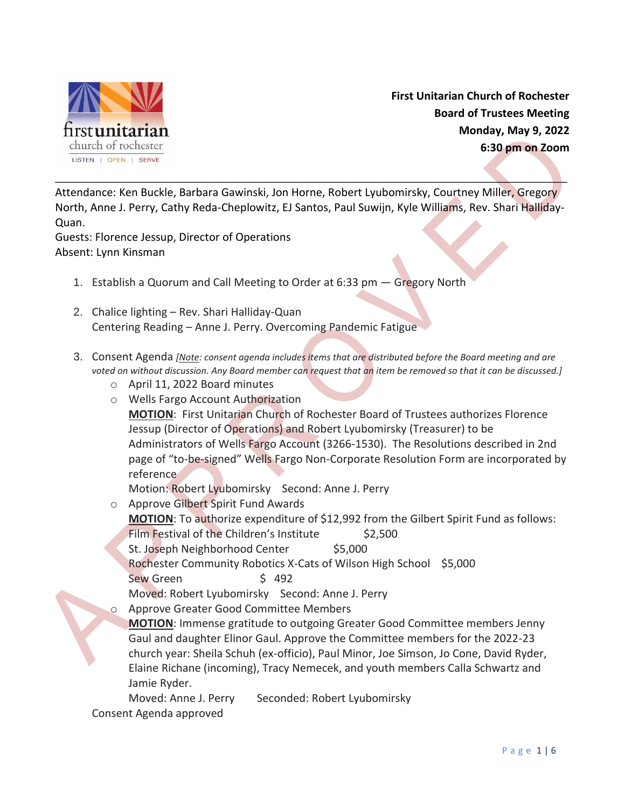

**First Unitarian Church of Rochester Board of Trustees Meeting Monday, May 9, 2022 6:30 pm on Zoom**

Attendance: Ken Buckle, Barbara Gawinski, Jon Horne, Robert Lyubomirsky, Courtney Miller, Gregory North, Anne J. Perry, Cathy Reda-Cheplowitz, EJ Santos, Paul Suwijn, Kyle Williams, Rev. Shari Halliday-Quan.

\_\_\_\_\_\_\_\_\_\_\_\_\_\_\_\_\_\_\_\_\_\_\_\_\_\_\_\_\_\_\_\_\_\_\_\_\_\_\_\_\_\_\_\_\_\_\_\_\_\_\_\_\_\_\_\_\_\_\_\_\_\_\_\_\_\_\_\_\_\_\_\_\_\_\_\_\_\_\_\_\_\_

Guests: Florence Jessup, Director of Operations Absent: Lynn Kinsman

- 1. Establish a Quorum and Call Meeting to Order at 6:33 pm Gregory North
- 2. Chalice lighting Rev. Shari Halliday-Quan Centering Reading – Anne J. Perry. Overcoming Pandemic Fatigue
- 3. Consent Agenda *[Note: consent agenda includes items that are distributed before the Board meeting and are voted on without discussion. Any Board member can request that an item be removed so that it can be discussed.]*
	- o April 11, 2022 Board minutes
	- o Wells Fargo Account Authorization

**MOTION**: First Unitarian Church of Rochester Board of Trustees authorizes Florence Jessup (Director of Operations) and Robert Lyubomirsky (Treasurer) to be Administrators of Wells Fargo Account (3266-1530). The Resolutions described in 2nd page of "to-be-signed" Wells Fargo Non-Corporate Resolution Form are incorporated by reference

Motion: Robert Lyubomirsky Second: Anne J. Perry

o Approve Gilbert Spirit Fund Awards

**MOTION**: To authorize expenditure of \$12,992 from the Gilbert Spirit Fund as follows:

Film Festival of the Children's Institute \$2,500

St. Joseph Neighborhood Center \$5,000

Rochester Community Robotics X-Cats of Wilson High School \$5,000

Sew Green \$ 492

Moved: Robert Lyubomirsky Second: Anne J. Perry

o Approve Greater Good Committee Members

**MOTION**: Immense gratitude to outgoing Greater Good Committee members Jenny Gaul and daughter Elinor Gaul. Approve the Committee members for the 2022-23 church year: Sheila Schuh (ex-officio), Paul Minor, Joe Simson, Jo Cone, David Ryder, Elaine Richane (incoming), Tracy Nemecek, and youth members Calla Schwartz and Jamie Ryder.

Moved: Anne J. Perry Seconded: Robert Lyubomirsky

Consent Agenda approved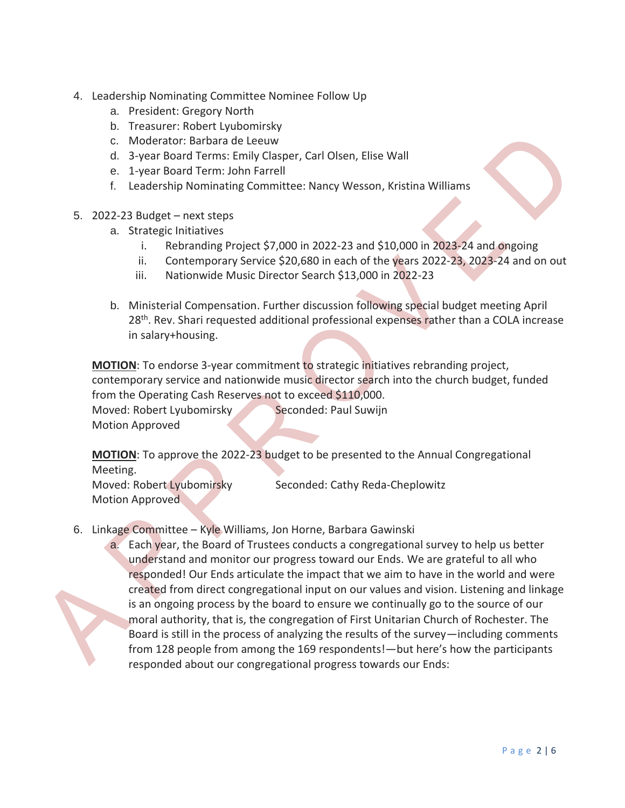- 4. Leadership Nominating Committee Nominee Follow Up
	- a. President: Gregory North
	- b. Treasurer: Robert Lyubomirsky
	- c. Moderator: Barbara de Leeuw
	- d. 3-year Board Terms: Emily Clasper, Carl Olsen, Elise Wall
	- e. 1-year Board Term: John Farrell
	- f. Leadership Nominating Committee: Nancy Wesson, Kristina Williams
- 5. 2022-23 Budget next steps
	- a. Strategic Initiatives
		- i. Rebranding Project \$7,000 in 2022-23 and \$10,000 in 2023-24 and ongoing
		- ii. Contemporary Service \$20,680 in each of the years 2022-23, 2023-24 and on out
		- iii. Nationwide Music Director Search \$13,000 in 2022-23
	- b. Ministerial Compensation. Further discussion following special budget meeting April 28<sup>th</sup>. Rev. Shari requested additional professional expenses rather than a COLA increase in salary+housing.

**MOTION**: To endorse 3-year commitment to strategic initiatives rebranding project, contemporary service and nationwide music director search into the church budget, funded from the Operating Cash Reserves not to exceed \$110,000.

Moved: Robert Lyubomirsky Seconded: Paul Suwijn Motion Approved

**MOTION**: To approve the 2022-23 budget to be presented to the Annual Congregational Meeting.

Moved: Robert Lyubomirsky Seconded: Cathy Reda-Cheplowitz Motion Approved

6. Linkage Committee – Kyle Williams, Jon Horne, Barbara Gawinski

a. Each year, the Board of Trustees conducts a congregational survey to help us better understand and monitor our progress toward our Ends. We are grateful to all who responded! Our Ends articulate the impact that we aim to have in the world and were created from direct congregational input on our values and vision. Listening and linkage is an ongoing process by the board to ensure we continually go to the source of our moral authority, that is, the congregation of First Unitarian Church of Rochester. The Board is still in the process of analyzing the results of the survey—including comments from 128 people from among the 169 respondents!—but here's how the participants responded about our congregational progress towards our Ends: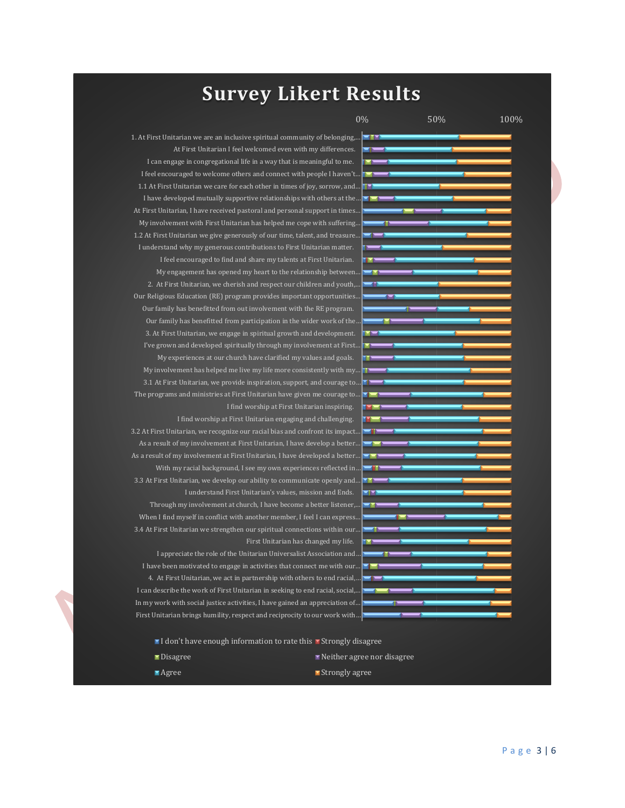## **Survey Likert Results**

0% 50% 100%

1. At First Unitarian we are an inclusive spiritual community of belonging,...  $\blacksquare$ At First Unitarian I feel welcomed even with my differences. I can engage in congregational life in a way that is meaningful to me. I feel encouraged to welcome others and connect with people I haven't… 1.1 At First Unitarian we care for each other in times of joy, sorrow, and… I have developed mutually supportive relationships with others at the… At First Unitarian, I have received pastoral and personal support in times… My involvement with First Unitarian has helped me cope with suffering… 1.2 At First Unitarian we give generously of our time, talent, and treasure… I understand why my generous contributions to First Unitarian matter. I feel encouraged to find and share my talents at First Unitarian. My engagement has opened my heart to the relationship between… 2. At First Unitarian, we cherish and respect our children and youth,… Our Religious Education (RE) program provides important opportunities… Our family has benefitted from out involvement with the RE program. Our family has benefitted from participation in the wider work of the… 3. At First Unitarian, we engage in spiritual growth and development. I've grown and developed spiritually through my involvement at First… My experiences at our church have clarified my values and goals. My involvement has helped me live my life more consistently with my… 3.1 At First Unitarian, we provide inspiration, support, and courage to… The programs and ministries at First Unitarian have given me courage to… I find worship at First Unitarian inspiring. I find worship at First Unitarian engaging and challenging. 3.2 At First Unitarian, we recognize our racial bias and confront its impact… As a result of my involvement at First Unitarian, I have develop a better… As a result of my involvement at First Unitarian, I have developed a better… With my racial background, I see my own experiences reflected in… 3.3 At First Unitarian, we develop our ability to communicate openly and… I understand First Unitarian's values, mission and Ends. Through my involvement at church, I have become a better listener,… When I find myself in conflict with another member, I feel I can express. 3.4 At First Unitarian we strengthen our spiritual connections within our… First Unitarian has changed my life. I appreciate the role of the Unitarian Universalist Association and… I have been motivated to engage in activities that connect me with our… 4. At First Unitarian, we act in partnership with others to end racial,… I can describe the work of First Unitarian in seeking to end racial, social,.

- I don't have enough information to rate this I Strongly disagree
- Disagree Neither agree nor disagree

In my work with social justice activities, I have gained an appreciation of. First Unitarian brings humility, respect and reciprocity to our work with…

- 
- $\blacksquare$  Agree  $\blacksquare$  Agree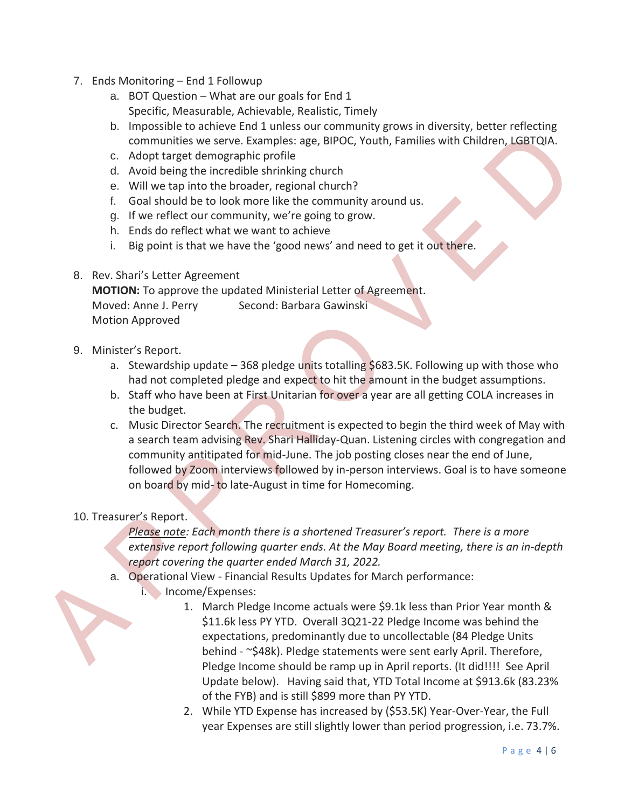- 7. Ends Monitoring End 1 Followup
	- a. BOT Question What are our goals for End 1 Specific, Measurable, Achievable, Realistic, Timely
	- b. Impossible to achieve End 1 unless our community grows in diversity, better reflecting communities we serve. Examples: age, BIPOC, Youth, Families with Children, LGBTQIA.
	- c. Adopt target demographic profile
	- d. Avoid being the incredible shrinking church
	- e. Will we tap into the broader, regional church?
	- f. Goal should be to look more like the community around us.
	- g. If we reflect our community, we're going to grow.
	- h. Ends do reflect what we want to achieve
	- i. Big point is that we have the 'good news' and need to get it out there.

## 8. Rev. Shari's Letter Agreement

**MOTION:** To approve the updated Ministerial Letter of Agreement. Moved: Anne J. Perry Second: Barbara Gawinski Motion Approved

- 9. Minister's Report.
	- a. Stewardship update  $-368$  pledge units totalling \$683.5K. Following up with those who had not completed pledge and expect to hit the amount in the budget assumptions.
	- b. Staff who have been at First Unitarian for over a year are all getting COLA increases in the budget.
	- c. Music Director Search. The recruitment is expected to begin the third week of May with a search team advising Rev. Shari Halliday-Quan. Listening circles with congregation and community antitipated for mid-June. The job posting closes near the end of June, followed by Zoom interviews followed by in-person interviews. Goal is to have someone on board by mid- to late-August in time for Homecoming.

## 10. Treasurer's Report.

*Please note: Each month there is a shortened Treasurer's report. There is a more extensive report following quarter ends. At the May Board meeting, there is an in-depth report covering the quarter ended March 31, 2022.*

- a. Operational View Financial Results Updates for March performance:
	- i. Income/Expenses:
		- 1. March Pledge Income actuals were \$9.1k less than Prior Year month & \$11.6k less PY YTD. Overall 3Q21-22 Pledge Income was behind the expectations, predominantly due to uncollectable (84 Pledge Units behind - ~\$48k). Pledge statements were sent early April. Therefore, Pledge Income should be ramp up in April reports. (It did!!!! See April Update below). Having said that, YTD Total Income at \$913.6k (83.23% of the FYB) and is still \$899 more than PY YTD.
		- 2. While YTD Expense has increased by (\$53.5K) Year-Over-Year, the Full year Expenses are still slightly lower than period progression, i.e. 73.7%.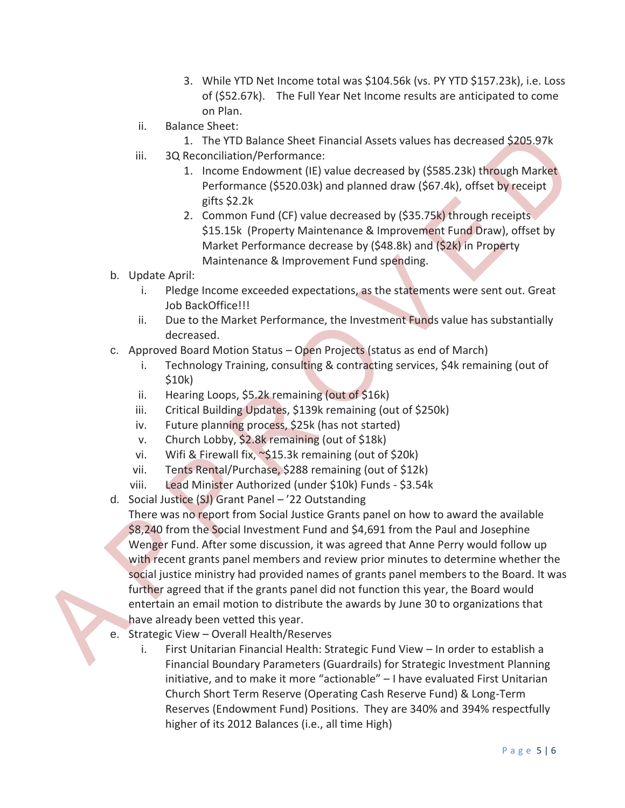- 3. While YTD Net Income total was \$104.56k (vs. PY YTD \$157.23k), i.e. Loss of (\$52.67k). The Full Year Net Income results are anticipated to come on Plan.
- ii. Balance Sheet:
	- 1. The YTD Balance Sheet Financial Assets values has decreased \$205.97k
- iii. 3Q Reconciliation/Performance:
	- 1. Income Endowment (IE) value decreased by (\$585.23k) through Market Performance (\$520.03k) and planned draw (\$67.4k), offset by receipt gifts \$2.2k
	- 2. Common Fund (CF) value decreased by (\$35.75k) through receipts \$15.15k (Property Maintenance & Improvement Fund Draw), offset by Market Performance decrease by (\$48.8k) and (\$2k) in Property Maintenance & Improvement Fund spending.
- b. Update April:
	- i. Pledge Income exceeded expectations, as the statements were sent out. Great Job BackOffice!!!
	- ii. Due to the Market Performance, the Investment Funds value has substantially decreased.
- c. Approved Board Motion Status Open Projects (status as end of March)
	- i. Technology Training, consulting & contracting services, \$4k remaining (out of \$10k)
	- ii. Hearing Loops, \$5.2k remaining (out of \$16k)
	- iii. Critical Building Updates, \$139k remaining (out of \$250k)
	- iv. Future planning process, \$25k (has not started)
	- v. Church Lobby, \$2.8k remaining (out of \$18k)
	- vi. Wifi & Firewall fix, ~\$15.3k remaining (out of \$20k)
	- vii. Tents Rental/Purchase, \$288 remaining (out of \$12k)
	- viii. Lead Minister Authorized (under \$10k) Funds \$3.54k
- d. Social Justice (SJ) Grant Panel '22 Outstanding

There was no report from Social Justice Grants panel on how to award the available \$8,240 from the Social Investment Fund and \$4,691 from the Paul and Josephine Wenger Fund. After some discussion, it was agreed that Anne Perry would follow up with recent grants panel members and review prior minutes to determine whether the social justice ministry had provided names of grants panel members to the Board. It was further agreed that if the grants panel did not function this year, the Board would entertain an email motion to distribute the awards by June 30 to organizations that have already been vetted this year.

- e. Strategic View Overall Health/Reserves
	- i. First Unitarian Financial Health: Strategic Fund View In order to establish a Financial Boundary Parameters (Guardrails) for Strategic Investment Planning initiative, and to make it more "actionable" – I have evaluated First Unitarian Church Short Term Reserve (Operating Cash Reserve Fund) & Long-Term Reserves (Endowment Fund) Positions. They are 340% and 394% respectfully higher of its 2012 Balances (i.e., all time High)